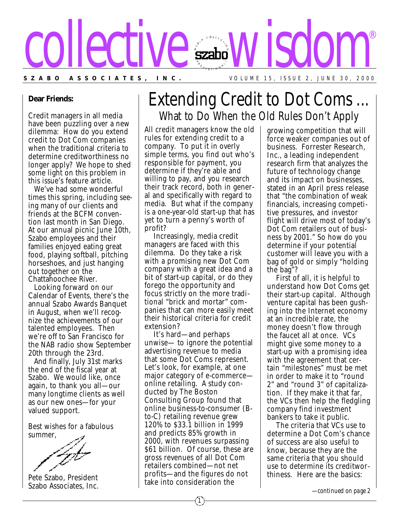

#### **Dear Friends:**

Credit managers in all media have been puzzling over a new dilemma: How do you extend credit to Dot Com companies when the traditional criteria to determine creditworthiness no longer apply? We hope to shed some light on this problem in this issue's feature article.

We've had some wonderful times this spring, including seeing many of our clients and friends at the BCFM convention last month in San Diego. At our annual picnic June 10th, Szabo employees and their families enjoyed eating great food, playing softball, pitching horseshoes, and just hanging out together on the Chattahoochee River.

Looking forward on our Calendar of Events, there's the annual Szabo Awards Banquet in August, when we'll recognize the achievements of our talented employees. Then we're off to San Francisco for the NAB radio show September 20th through the 23rd.

And finally, July 31st marks the end of the fiscal year at Szabo. We would like, once again, to thank you all—our many longtime clients as well as our new ones—for your valued support.

Best wishes for a fabulous summer,

Pete Szabo, President Szabo Associates, Inc.

### Extending Credit to Dot Coms ... What to Do When the Old Rules Don't Apply

All credit managers know the old rules for extending credit to a company. To put it in overly simple terms, you find out who's responsible for payment, you determine if they're able and willing to pay, and you research their track record, both in general and specifically with regard to media. But what if the company is a one-year-old start-up that has yet to turn a penny's worth of profit?

Increasingly, media credit managers are faced with this dilemma. Do they take a risk with a promising new Dot Com company with a great idea and a bit of start-up capital, or do they forego the opportunity and focus strictly on the more traditional "brick and mortar" companies that can more easily meet their historical criteria for credit extension?

It's hard—and perhaps unwise— to ignore the potential advertising revenue to media that some Dot Coms represent. Let's look, for example, at one major category of e-commerce online retailing. A study conducted by The Boston Consulting Group found that online business-to-consumer (Bto-C) retailing revenue grew 120% to \$33.1 billion in 1999 and predicts 85% growth in 2000, with revenues surpassing \$61 billion. Of course, these are gross revenues of all Dot Com retailers combined—not net profits—and the figures do not take into consideration the

1

growing competition that will force weaker companies out of business. Forrester Research, Inc., a leading independent research firm that analyzes the future of technology change and its impact on businesses, stated in an April press release that "the combination of weak financials, increasing competitive pressures, and investor flight will drive most of today's Dot Com retailers out of business by 2001." So how do you determine if your potential customer will leave you with a bag of gold or simply "holding the bag"?

First of all, it is helpful to understand how Dot Coms get their start-up capital. Although venture capital has been gushing into the Internet economy at an incredible rate, the money doesn't flow through the faucet all at once. VCs might give some money to a start-up with a promising idea with the agreement that certain "milestones" must be met in order to make it to "round 2" and "round 3" of capitalization. If they make it that far, the VCs then help the fledgling company find investment bankers to take it public.

The criteria that VCs use to determine a Dot Com's chance of success are also useful to know, because they are the same criteria that you should use to determine its creditworthiness. Here are the basics: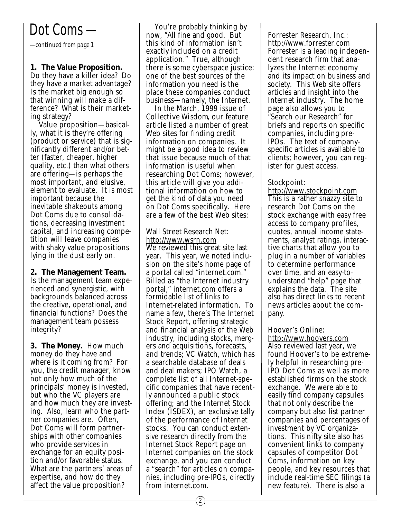## *Dot Coms —*

*—continued from page 1*

#### **1. The Value Proposition.**

Do they have a killer idea? Do they have a market advantage? Is the market big enough so that winning will make a difference? What is their marketing strategy?

Value proposition—basically, what it is they're offering (product or service) that is significantly different and/or better (faster, cheaper, higher quality, etc.) than what others are offering—is perhaps the most important, and elusive, element to evaluate. It is most important because the inevitable shakeouts among Dot Coms due to consolidations, decreasing investment capital, and increasing competition will leave companies with shaky value propositions lying in the dust early on.

**2. The Management Team.** Is the management team experienced and synergistic, with backgrounds balanced across the creative, operational, and financial functions? Does the management team possess integrity?

**3. The Money.** How much money do they have and where is it coming from? For you, the credit manager, know not only how much of the principals' money is invested, but who the VC players are and how much they are investing. Also, learn who the partner companies are. Often, Dot Coms will form partnerships with other companies who provide services in exchange for an equity position and/or favorable status. What are the partners' areas of expertise, and how do they affect the value proposition?

You're probably thinking by now, "All fine and good. But this kind of information isn't exactly included on a credit application." True, although there is some cyberspace justice: one of the best sources of the information you need is the place these companies conduct business—namely, the Internet.

In the March, 1999 issue of *Collective Wisdom*, our feature article listed a number of great Web sites for finding credit information on companies. It might be a good idea to review that issue because much of that information is useful when researching Dot Coms; however, this article will give you additional information on how to get the kind of data you need on Dot Coms specifically. Here are a few of the best Web sites:

Wall Street Research Net: http://www.wsrn.com We reviewed this great site last year. This year, we noted inclusion on the site's home page of a portal called "internet.com." Billed as "the Internet industry portal," internet.com offers a formidable list of links to Internet-related information. To name a few, there's The Internet Stock Report, offering strategic and financial analysis of the Web industry, including stocks, mergers and acquisitions, forecasts, and trends; VC Watch, which has a searchable database of deals and deal makers; IPO Watch, a complete list of all Internet-specific companies that have recently announced a public stock offering; and the Internet Stock Index (ISDEX), an exclusive tally of the performance of Internet stocks. You can conduct extensive research directly from the Internet Stock Report page on Internet companies on the stock exchange, and you can conduct a "search" for articles on companies, including pre-IPOs, directly from internet.com.

Forrester Research, Inc.: http://www.forrester.com Forrester is a leading independent research firm that analyzes the Internet economy and its impact on business and society. This Web site offers articles and insight into the Internet industry. The home page also allows you to "Search our Research" for briefs and reports on specific companies, including pre-IPOs. The text of companyspecific articles is available to clients; however, you can register for guest access.

#### Stockpoint:

http://www.stockpoint.com This is a rather snazzy site to research Dot Coms on the stock exchange with easy free access to company profiles, quotes, annual income statements, analyst ratings, interactive charts that allow you to plug in a number of variables to determine performance over time, and an easy-tounderstand "help" page that explains the data. The site also has direct links to recent news articles about the company.

#### Hoover's Online:

http://www.hoovers.com Also reviewed last year, we found Hoover's to be extremely helpful in researching pre-IPO Dot Coms as well as more established firms on the stock exchange. We were able to easily find company capsules that not only describe the company but also list partner companies and percentages of investment by VC organizations. This nifty site also has convenient links to company capsules of competitor Dot Coms, information on key people, and key resources that include real-time SEC filings (a new feature). There is also a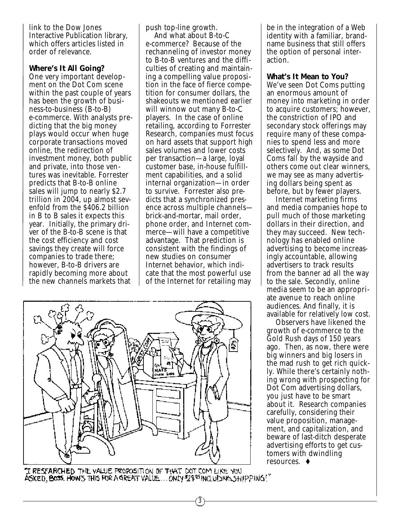link to the Dow Jones Interactive Publication library, which offers articles listed in order of relevance.

#### **Where's It All Going?**

One very important development on the Dot Com scene within the past couple of years has been the growth of business-to-business (B-to-B) e-commerce. With analysts predicting that the big money plays would occur when huge corporate transactions moved online, the redirection of investment money, both public and private, into those ventures was inevitable. Forrester predicts that B-to-B online sales will jump to nearly \$2.7 trillion in 2004, up almost sevenfold from the \$406.2 billion in B to B sales it expects this year. Initially, the primary driver of the B-to-B scene is that the cost efficiency and cost savings they create will force companies to trade there; however, B-to-B drivers are rapidly becoming more about the new channels markets that

push top-line growth.

And what about B-to-C e-commerce? Because of the rechanneling of investor money to B-to-B ventures and the difficulties of creating and maintaining a compelling value proposition in the face of fierce competition for consumer dollars, the shakeouts we mentioned earlier will winnow out many B-to-C players. In the case of online retailing, according to Forrester Research, companies must focus on hard assets that support high sales volumes and lower costs per transaction—a large, loyal customer base, in-house fulfillment capabilities, and a solid internal organization—in order to survive. Forrester also predicts that a synchronized presence across multiple channels brick-and-mortar, mail order, phone order, and Internet commerce—will have a competitive advantage. That prediction is consistent with the findings of new studies on consumer Internet behavior, which indicate that the most powerful use of the Internet for retailing may



I RESEARCHED THE VALUE PROPOSITION OF THAT DOT COM LIKE YOU ASKED, BOJS. HOW'S THIS FOR A GREAT VALUE ... ONLY \$2995 INCLUDING SHIPPING!"

3

be in the integration of a Web identity with a familiar, brandname business that still offers the option of personal interaction.

#### **What's It Mean to You?** We've seen Dot Coms putting an enormous amount of

money into marketing in order to acquire customers; however, the constriction of IPO and secondary stock offerings may require many of these companies to spend less and more selectively. And, as some Dot Coms fall by the wayside and others come out clear winners, we may see as many advertising dollars being spent as before, but by fewer players.

Internet marketing firms and media companies hope to pull much of those marketing dollars in their direction, and they may succeed. New technology has enabled online advertising to become increasingly accountable, allowing advertisers to track results from the banner ad all the way to the sale. Secondly, online media seem to be an appropriate avenue to reach online audiences. And finally, it is available for relatively low cost.

Observers have likened the growth of e-commerce to the Gold Rush days of 150 years ago. Then, as now, there were big winners and big losers in the mad rush to get rich quickly. While there's certainly nothing wrong with prospecting for Dot Com advertising dollars, you just have to be smart about it. Research companies carefully, considering their value proposition, management, and capitalization, and beware of last-ditch desperate advertising efforts to get customers with dwindling resources. ♦